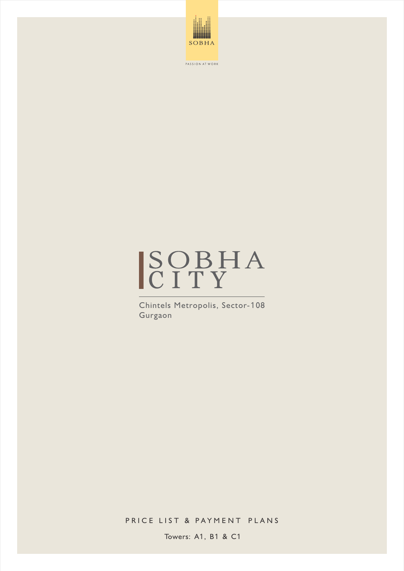



Chintels Metropolis, Sector-108 Gurgaon

PRICE LIST & PAYMENT PLANS

Towers: A1, B1 & C1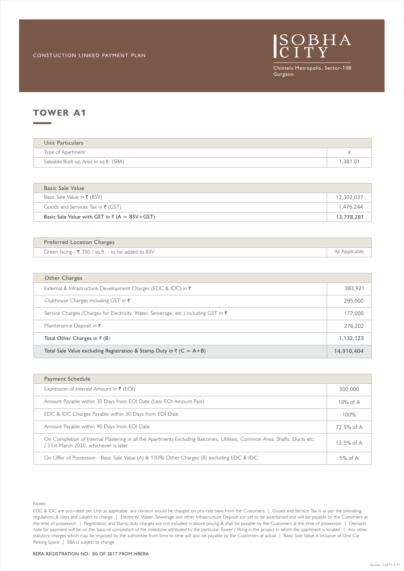

## **TOWER A**1

| Unit Particulars                       |  |
|----------------------------------------|--|
| Type of Apartment                      |  |
| Saleable Built-up Area in sq.ft. (SBA) |  |

| Basic Sale Value                                        |            |
|---------------------------------------------------------|------------|
| Basic Sale Value in ₹ (BSV)                             | 12,302,037 |
| Goods and Services Tax in $\bar{\tau}$ (GST)            | 1,476,244  |
| Basic Sale Value with GST in $\bar{\tau}$ (A = BSV+GST) | 13,778,281 |

| <b>Preferred Location Charges</b>                             |               |
|---------------------------------------------------------------|---------------|
| Green facing - $\bar{\tau}$ 350 / sq.ft. - to be added to BSV | As Applicable |

| Other Charges                                                                                  |            |
|------------------------------------------------------------------------------------------------|------------|
| External & Infrastructure Development Charges (EDC & IDC) in $\bar{\tau}$                      | 383.921    |
| Clubhouse Charges including GST in $\bar{\tau}$                                                | 295,000    |
| Service Charges (Charges for Electricity, Water, Sewerage, etc.) including GST in $\bar{\tau}$ | 177,000    |
| Maintenance Deposit in $\bar{\tau}$                                                            | 276,202    |
| Total Other Charges in $\bar{\tau}$ (B)                                                        | 1,132,123  |
| Total Sale Value excluding Registration & Stamp Duty in $\bar{\tau}$ (C = A+B)                 | 14,910,404 |

| Payment Schedule                                                                                                                                                    |              |
|---------------------------------------------------------------------------------------------------------------------------------------------------------------------|--------------|
| Expression of Interest Amount in $\bar{\tau}$ (EOI)                                                                                                                 | 300,000      |
| Amount Payable within 30 Days from EOI Date (Less EOI Amount Paid)                                                                                                  | $10\%$ of A  |
| EDC & IDC Charges Payable within 30 Days from EOI Date                                                                                                              | 100%         |
| Amount Payable within 90 Days from EOI Date                                                                                                                         | 72.5% of A   |
| On Completion of Internal Plastering in all the Apartments Excluding Balconies, Utilities, Common Area, Shafts, Ducts etc.<br>/ 31st March 2020, whichever is later | 12.5% of $A$ |
| On Offer of Possession - Basic Sale Value (A) & 100% Other Charges (B) excluding EDC & IDC                                                                          | $5\%$ of A   |

Notes: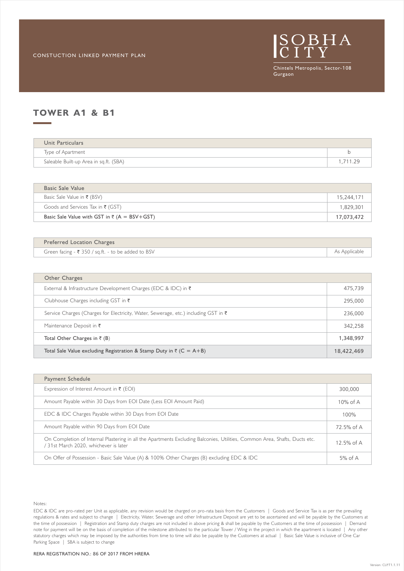

### **TOWER A**1 **& B**1

| Unit Particulars                       |        |
|----------------------------------------|--------|
| Type of Apartment                      |        |
| Saleable Built-up Area in sq.ft. (SBA) | 711 29 |

| Basic Sale Value                                        |            |
|---------------------------------------------------------|------------|
| Basic Sale Value in ₹ (BSV)                             | 15.244.171 |
| Goods and Services Tax in $\bar{\tau}$ (GST)            | 1.829.301  |
| Basic Sale Value with GST in $\bar{\tau}$ (A = BSV+GST) | 17,073,472 |

| Green facing - ₹ 350 / sq.ft. - to be added to BSV<br>As Applicable |  |
|---------------------------------------------------------------------|--|

| Other Charges                                                                                  |            |
|------------------------------------------------------------------------------------------------|------------|
| External & Infrastructure Development Charges (EDC & IDC) in $\bar{\tau}$                      | 475.739    |
| Clubhouse Charges including GST in $\bar{\tau}$                                                | 295,000    |
| Service Charges (Charges for Electricity, Water, Sewerage, etc.) including GST in $\bar{\tau}$ | 236,000    |
| Maintenance Deposit in $\bar{\tau}$                                                            | 342,258    |
| Total Other Charges in $\bar{\tau}$ (B)                                                        | 1,348,997  |
| Total Sale Value excluding Registration & Stamp Duty in $\bar{\tau}$ (C = A+B)                 | 18,422,469 |

| Payment Schedule                                                                                                                                                    |             |
|---------------------------------------------------------------------------------------------------------------------------------------------------------------------|-------------|
| Expression of Interest Amount in $\bar{\tau}$ (EOI)                                                                                                                 | 300,000     |
| Amount Payable within 30 Days from EOI Date (Less EOI Amount Paid)                                                                                                  | $10\%$ of A |
| EDC & IDC Charges Payable within 30 Days from EOI Date                                                                                                              | 100%        |
| Amount Payable within 90 Days from EOI Date                                                                                                                         | 72.5% of A  |
| On Completion of Internal Plastering in all the Apartments Excluding Balconies, Utilities, Common Area, Shafts, Ducts etc.<br>/ 31st March 2020, whichever is later | 12.5% of A  |
| On Offer of Possession - Basic Sale Value (A) & 100% Other Charges (B) excluding EDC & IDC                                                                          | $5%$ of A   |

Notes: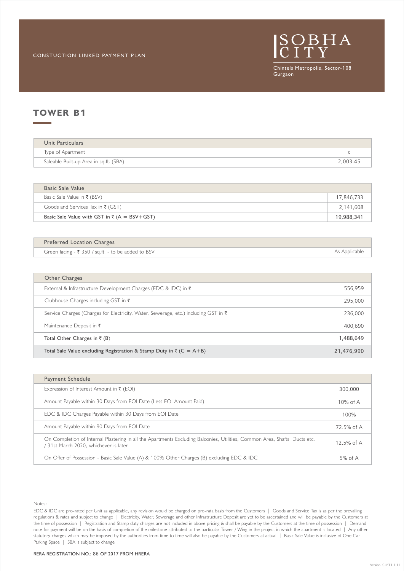

### **TOWER B**1

| Unit Particulars                       |          |
|----------------------------------------|----------|
| Type of Apartment                      |          |
| Saleable Built-up Area in sq.ft. (SBA) | 2,003.45 |

| Basic Sale Value                                        |            |
|---------------------------------------------------------|------------|
| Basic Sale Value in ₹ (BSV)                             | 17,846,733 |
| Goods and Services Tax in $\bar{\tau}$ (GST)            | 2,141,608  |
| Basic Sale Value with GST in $\bar{\tau}$ (A = BSV+GST) | 19,988,341 |

| <b>Preferred Location Charges</b>                  |               |
|----------------------------------------------------|---------------|
| Green facing - ₹ 350 / sq.ft. - to be added to BSV | As Applicable |

| Other Charges                                                                       |            |
|-------------------------------------------------------------------------------------|------------|
| External & Infrastructure Development Charges (EDC & IDC) in $\bar{\tau}$           | 556,959    |
| Clubhouse Charges including GST in $\bar{\tau}$                                     | 295,000    |
| Service Charges (Charges for Electricity, Water, Sewerage, etc.) including GST in ₹ | 236,000    |
| Maintenance Deposit in $\bar{\tau}$                                                 | 400.690    |
| Total Other Charges in $\bar{\tau}$ (B)                                             | 1.488.649  |
| Total Sale Value excluding Registration & Stamp Duty in $\bar{z}$ (C = A+B)         | 21,476,990 |

| Payment Schedule                                                                                                                                                    |             |
|---------------------------------------------------------------------------------------------------------------------------------------------------------------------|-------------|
| Expression of Interest Amount in $\bar{\tau}$ (EOI)                                                                                                                 | 300,000     |
| Amount Payable within 30 Days from EOI Date (Less EOI Amount Paid)                                                                                                  | $10\%$ of A |
| EDC & IDC Charges Payable within 30 Days from EOI Date                                                                                                              | 100%        |
| Amount Payable within 90 Days from EOI Date                                                                                                                         | 72.5% of A  |
| On Completion of Internal Plastering in all the Apartments Excluding Balconies, Utilities, Common Area, Shafts, Ducts etc.<br>/ 31st March 2020, whichever is later | 12.5% of A  |
| On Offer of Possession - Basic Sale Value (A) & 100% Other Charges (B) excluding EDC & IDC                                                                          | $5%$ of A   |

Notes: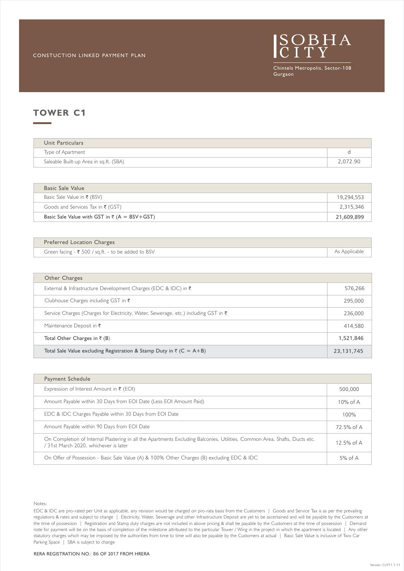

| Unit Particulars                       |          |
|----------------------------------------|----------|
| Type of Apartment                      |          |
| Saleable Built-up Area in sq.ft. (SBA) | 2,072.90 |

| Basic Sale Value                                        |            |
|---------------------------------------------------------|------------|
| Basic Sale Value in ₹ (BSV)                             | 19,294,553 |
| Goods and Services Tax in $\bar{\tau}$ (GST)            | 2,315,346  |
| Basic Sale Value with GST in $\bar{\tau}$ (A = BSV+GST) | 21,609,899 |

| <b>Preferred Location Charges</b>                  |               |
|----------------------------------------------------|---------------|
| Green facing - ₹ 500 / sq.ft. - to be added to BSV | As Applicable |
|                                                    |               |

| Other Charges                                                                       |            |
|-------------------------------------------------------------------------------------|------------|
| External & Infrastructure Development Charges (EDC & IDC) in ₹                      | 576.266    |
| Clubhouse Charges including GST in $\bar{\tau}$                                     | 295,000    |
| Service Charges (Charges for Electricity, Water, Sewerage, etc.) including GST in ₹ | 236,000    |
| Maintenance Deposit in $\bar{\tau}$                                                 | 414,580    |
| Total Other Charges in $\bar{\tau}$ (B)                                             | 1,521,846  |
| Total Sale Value excluding Registration & Stamp Duty in $\bar{z}$ (C = A+B)         | 23,131,745 |

| Payment Schedule                                                                                                                                                    |             |
|---------------------------------------------------------------------------------------------------------------------------------------------------------------------|-------------|
| Expression of Interest Amount in $\bar{\tau}$ (EOI)                                                                                                                 | 500,000     |
| Amount Payable within 30 Days from EOI Date (Less EOI Amount Paid)                                                                                                  | $10\%$ of A |
| EDC & IDC Charges Payable within 30 Days from EOI Date                                                                                                              | 100%        |
| Amount Payable within 90 Days from EOI Date                                                                                                                         | 72.5% of A  |
| On Completion of Internal Plastering in all the Apartments Excluding Balconies, Utilities, Common Area, Shafts, Ducts etc.<br>/ 31st March 2020, whichever is later | 12.5% of A  |
| On Offer of Possession - Basic Sale Value (A) & 100% Other Charges (B) excluding EDC & IDC                                                                          | $5%$ of A   |

Notes: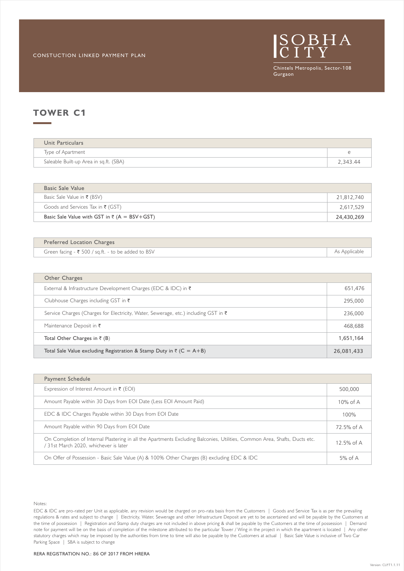

| Unit Particulars                       |          |
|----------------------------------------|----------|
| Type of Apartment                      |          |
| Saleable Built-up Area in sq.ft. (SBA) | 2,343.44 |

| Basic Sale Value                                        |            |
|---------------------------------------------------------|------------|
| Basic Sale Value in ₹ (BSV)                             | 21,812,740 |
| Goods and Services Tax in $\bar{\tau}$ (GST)            | 2,617,529  |
| Basic Sale Value with GST in $\bar{\tau}$ (A = BSV+GST) | 24,430,269 |

| Preferred Location Charges                         |               |
|----------------------------------------------------|---------------|
| Green facing - ₹ 500 / sq.ft. - to be added to BSV | As Applicable |

| Other Charges                                                                                  |            |
|------------------------------------------------------------------------------------------------|------------|
| External & Infrastructure Development Charges (EDC & IDC) in $\bar{\tau}$                      | 651,476    |
| Clubhouse Charges including GST in $\bar{\tau}$                                                | 295,000    |
| Service Charges (Charges for Electricity, Water, Sewerage, etc.) including GST in $\bar{\tau}$ | 236,000    |
| Maintenance Deposit in $\bar{\tau}$                                                            | 468,688    |
| Total Other Charges in $\bar{\tau}$ (B)                                                        | 1,651,164  |
| Total Sale Value excluding Registration & Stamp Duty in $\bar{z}$ (C = A+B)                    | 26,081,433 |

| Payment Schedule                                                                                                                                                    |             |
|---------------------------------------------------------------------------------------------------------------------------------------------------------------------|-------------|
| Expression of Interest Amount in $\bar{\tau}$ (EOI)                                                                                                                 | 500,000     |
| Amount Payable within 30 Days from EOI Date (Less EOI Amount Paid)                                                                                                  | $10\%$ of A |
| EDC & IDC Charges Payable within 30 Days from EOI Date                                                                                                              | 100%        |
| Amount Payable within 90 Days from EOI Date                                                                                                                         | 72.5% of A  |
| On Completion of Internal Plastering in all the Apartments Excluding Balconies, Utilities, Common Area, Shafts, Ducts etc.<br>/ 31st March 2020, whichever is later | 12.5% of A  |
| On Offer of Possession - Basic Sale Value (A) & 100% Other Charges (B) excluding EDC & IDC                                                                          | $5%$ of A   |

Notes: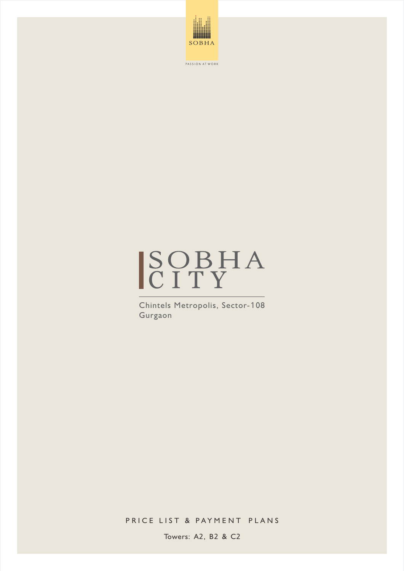



Chintels Metropolis, Sector-108 Gurgaon

PRICE LIST & PAYMENT PLANS

Towers: A2, B2 & C2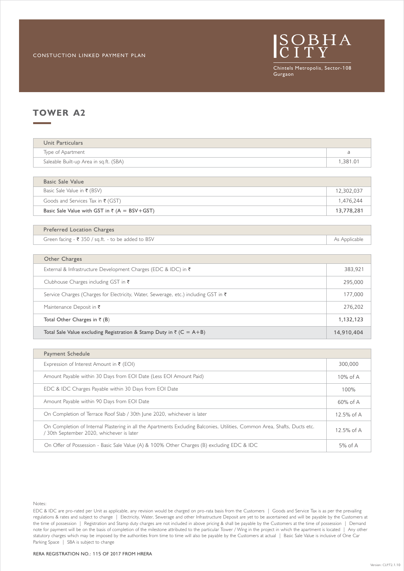

### **TOWER A2**

| Type of Apartment                      |         |
|----------------------------------------|---------|
| Saleable Built-up Area in sq.ft. (SBA) | .381.01 |

| Basic Sale Value with GST in $\bar{\tau}$ (A = BSV+GST) | 13,778,281 |
|---------------------------------------------------------|------------|
| Goods and Services Tax in $\bar{\tau}$ (GST)            | 1.476.244  |
| Basic Sale Value in ₹ (BSV)                             | 12.302.037 |
| Basic Sale Value                                        |            |

### Preferred Location Charges

Green facing - ₹ 350 / sq.ft. - to be added to BSV As Applicable

| Other Charges                                                                                  |            |
|------------------------------------------------------------------------------------------------|------------|
| External & Infrastructure Development Charges (EDC & IDC) in $\bar{\tau}$                      | 383.921    |
| Clubhouse Charges including GST in $\bar{\tau}$                                                | 295,000    |
| Service Charges (Charges for Electricity, Water, Sewerage, etc.) including GST in $\bar{\tau}$ | 177,000    |
| Maintenance Deposit in $\bar{\tau}$                                                            | 276,202    |
| Total Other Charges in $\bar{\tau}$ (B)                                                        | 1,132,123  |
| Total Sale Value excluding Registration & Stamp Duty in $\bar{\tau}$ (C = A+B)                 | 14,910,404 |

| Payment Schedule                                                                                                                                                      |              |
|-----------------------------------------------------------------------------------------------------------------------------------------------------------------------|--------------|
| Expression of Interest Amount in $\bar{\tau}$ (EOI)                                                                                                                   | 300,000      |
| Amount Payable within 30 Days from EOI Date (Less EOI Amount Paid)                                                                                                    | $10\%$ of A  |
| EDC & IDC Charges Payable within 30 Days from EOI Date                                                                                                                | 100%         |
| Amount Payable within 90 Days from EOI Date                                                                                                                           | $60\%$ of A  |
| On Completion of Terrace Roof Slab / 30th June 2020, whichever is later                                                                                               | 12.5% of $A$ |
| On Completion of Internal Plastering in all the Apartments Excluding Balconies, Utilities, Common Area, Shafts, Ducts etc.<br>30th September 2020, whichever is later | 12.5% of $A$ |
| On Offer of Possession - Basic Sale Value (A) & 100% Other Charges (B) excluding EDC & IDC                                                                            | $5%$ of A    |

Notes: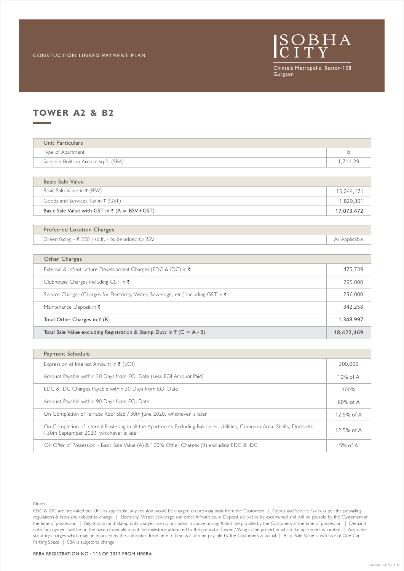

# **TOWER A2 & B2**

| Unit Particulars                       |          |
|----------------------------------------|----------|
| Type of Apartment                      |          |
| Saleable Built-up Area in sq.ft. (SBA) | 1.711.29 |

| Basic Sale Value with GST in $\bar{\tau}$ (A = BSV+GST) | 17,073,472 |
|---------------------------------------------------------|------------|
| Goods and Services Tax in $\bar{\tau}$ (GST)            | 1.829.301  |
| Basic Sale Value in ₹ (BSV)                             | 15.244.171 |
| Basic Sale Value                                        |            |

#### Preferred Location Charges

Green facing - ₹ 350 / sq.ft. - to be added to BSV As Applicable

| Other Charges                                                                                  |            |
|------------------------------------------------------------------------------------------------|------------|
| External & Infrastructure Development Charges (EDC & IDC) in $\bar{\tau}$                      | 475,739    |
| Clubhouse Charges including GST in ₹                                                           | 295,000    |
| Service Charges (Charges for Electricity, Water, Sewerage, etc.) including GST in $\bar{\tau}$ | 236,000    |
| Maintenance Deposit in $\bar{\tau}$                                                            | 342,258    |
| Total Other Charges in $\bar{\tau}$ (B)                                                        | 1,348,997  |
| Total Sale Value excluding Registration & Stamp Duty in $\bar{\tau}$ (C = A+B)                 | 18,422,469 |

| Payment Schedule                                                                                                                                                      |              |
|-----------------------------------------------------------------------------------------------------------------------------------------------------------------------|--------------|
| Expression of Interest Amount in $\bar{\tau}$ (EOI)                                                                                                                   | 300,000      |
| Amount Payable within 30 Days from EOI Date (Less EOI Amount Paid)                                                                                                    | $10\%$ of A  |
| EDC & IDC Charges Payable within 30 Days from EOI Date                                                                                                                | 100%         |
| Amount Payable within 90 Days from EOI Date                                                                                                                           | $60\%$ of A  |
| On Completion of Terrace Roof Slab / 30th June 2020, whichever is later                                                                                               | 12.5% of A   |
| On Completion of Internal Plastering in all the Apartments Excluding Balconies, Utilities, Common Area, Shafts, Ducts etc.<br>30th September 2020, whichever is later | 12.5% of $A$ |
| On Offer of Possession - Basic Sale Value (A) & 100% Other Charges (B) excluding EDC & IDC                                                                            | $5%$ of A    |

Notes: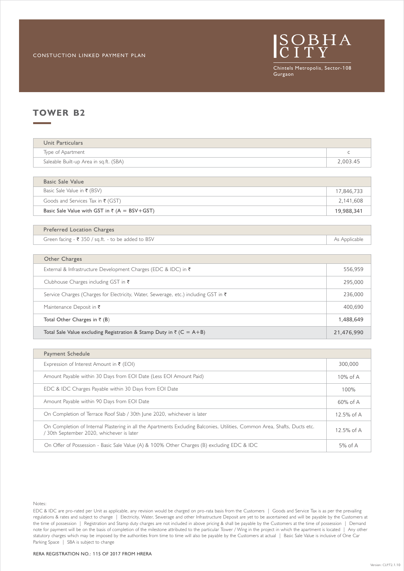

### **TOWER B2**

| Unit Particulars                       |          |
|----------------------------------------|----------|
| Type of Apartment                      |          |
| Saleable Built-up Area in sq.ft. (SBA) | 2,003.45 |
|                                        |          |

| Basic Sale Value with GST in $\bar{\tau}$ (A = BSV+GST) | 19,988,341 |
|---------------------------------------------------------|------------|
| Goods and Services Tax in $\bar{\tau}$ (GST)            | 2.141.608  |
| Basic Sale Value in ₹ (BSV)                             | 17,846,733 |
| Basic Sale Value                                        |            |

### Preferred Location Charges

Green facing - ₹ 350 / sq.ft. - to be added to BSV As Applicable

| Other Charges                                                                                  |            |
|------------------------------------------------------------------------------------------------|------------|
| External & Infrastructure Development Charges (EDC & IDC) in ₹                                 | 556,959    |
| Clubhouse Charges including GST in $\bar{\tau}$                                                | 295,000    |
| Service Charges (Charges for Electricity, Water, Sewerage, etc.) including GST in $\bar{\tau}$ | 236,000    |
| Maintenance Deposit in $\bar{\tau}$                                                            | 400,690    |
| Total Other Charges in $\bar{\tau}$ (B)                                                        | 1,488,649  |
| Total Sale Value excluding Registration & Stamp Duty in $\bar{\tau}$ (C = A+B)                 | 21,476,990 |

| Payment Schedule                                                                                                                                                      |              |
|-----------------------------------------------------------------------------------------------------------------------------------------------------------------------|--------------|
| Expression of Interest Amount in $\bar{\tau}$ (EOI)                                                                                                                   | 300,000      |
| Amount Payable within 30 Days from EOI Date (Less EOI Amount Paid)                                                                                                    | $10\%$ of A  |
| EDC & IDC Charges Payable within 30 Days from EOI Date                                                                                                                | 100%         |
| Amount Payable within 90 Days from EOI Date                                                                                                                           | $60\%$ of A  |
| On Completion of Terrace Roof Slab / 30th June 2020, whichever is later                                                                                               | 12.5% of $A$ |
| On Completion of Internal Plastering in all the Apartments Excluding Balconies, Utilities, Common Area, Shafts, Ducts etc.<br>30th September 2020, whichever is later | 12.5% of $A$ |
| On Offer of Possession - Basic Sale Value (A) & 100% Other Charges (B) excluding EDC & IDC                                                                            | $5%$ of A    |

Notes: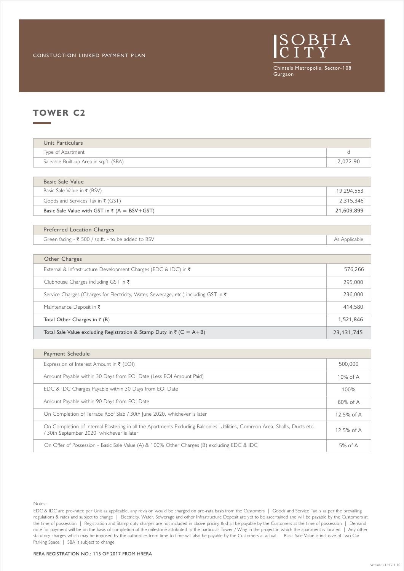

| Unit Particulars                       |          |
|----------------------------------------|----------|
| Type of Apartment                      |          |
| Saleable Built-up Area in sq.ft. (SBA) | 2,072.90 |
|                                        |          |

| Basic Sale Value with GST in $\bar{\tau}$ (A = BSV+GST) | 21,609,899 |
|---------------------------------------------------------|------------|
| Goods and Services Tax in ₹ (GST)                       | 2.315.346  |
| Basic Sale Value in ₹ (BSV)                             | 19,294,553 |
| Basic Sale Value                                        |            |

### Preferred Location Charges

Green facing  $-\bar{\tau}$  500 / sq.ft. - to be added to BSV As Applicable

| Other Charges                                                                                  |              |
|------------------------------------------------------------------------------------------------|--------------|
| External & Infrastructure Development Charges (EDC & IDC) in ₹                                 | 576,266      |
| Clubhouse Charges including GST in $\bar{\tau}$                                                | 295,000      |
| Service Charges (Charges for Electricity, Water, Sewerage, etc.) including GST in $\bar{\tau}$ | 236,000      |
| Maintenance Deposit in $\bar{\tau}$                                                            | 414,580      |
| Total Other Charges in $\bar{\tau}$ (B)                                                        | 1,521,846    |
| Total Sale Value excluding Registration & Stamp Duty in $\bar{\tau}$ (C = A+B)                 | 23, 131, 745 |

| Payment Schedule                                                                                                                                                      |              |
|-----------------------------------------------------------------------------------------------------------------------------------------------------------------------|--------------|
| Expression of Interest Amount in $\bar{\tau}$ (EOI)                                                                                                                   | 500,000      |
| Amount Payable within 30 Days from EOI Date (Less EOI Amount Paid)                                                                                                    | $10\%$ of A  |
| EDC & IDC Charges Payable within 30 Days from EOI Date                                                                                                                | 100%         |
| Amount Payable within 90 Days from EOI Date                                                                                                                           | $60\%$ of A  |
| On Completion of Terrace Roof Slab / 30th June 2020, whichever is later                                                                                               | 12.5% of $A$ |
| On Completion of Internal Plastering in all the Apartments Excluding Balconies, Utilities, Common Area, Shafts, Ducts etc.<br>30th September 2020, whichever is later | 12.5% of $A$ |
| On Offer of Possession - Basic Sale Value (A) & 100% Other Charges (B) excluding EDC & IDC                                                                            | $5%$ of A    |

Notes: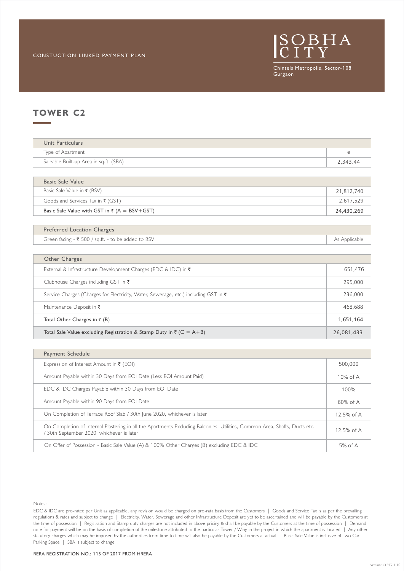

| Unit Particulars                       |            |
|----------------------------------------|------------|
| Type of Apartment                      | $\epsilon$ |
| Saleable Built-up Area in sq.ft. (SBA) | 2.343.44   |

| Basic Sale Value with GST in $\bar{\tau}$ (A = BSV+GST) | 24,430,269 |
|---------------------------------------------------------|------------|
| Goods and Services Tax in $\bar{\tau}$ (GST)            | 2.617.529  |
| Basic Sale Value in ₹ (BSV)                             | 21.812.740 |
| Basic Sale Value                                        |            |

#### Preferred Location Charges

Green facing  $-\bar{\tau}$  500 / sq.ft. - to be added to BSV As Applicable

| Other Charges                                                                                  |            |
|------------------------------------------------------------------------------------------------|------------|
| External & Infrastructure Development Charges (EDC & IDC) in $\bar{\tau}$                      | 651,476    |
| Clubhouse Charges including GST in $\bar{\tau}$                                                | 295,000    |
| Service Charges (Charges for Electricity, Water, Sewerage, etc.) including GST in $\bar{\tau}$ | 236,000    |
| Maintenance Deposit in $\bar{\tau}$                                                            | 468,688    |
| Total Other Charges in $\bar{z}$ (B)                                                           | 1,651,164  |
| Total Sale Value excluding Registration & Stamp Duty in $\bar{\tau}$ (C = A+B)                 | 26,081,433 |

| Payment Schedule                                                                                                                                                      |              |
|-----------------------------------------------------------------------------------------------------------------------------------------------------------------------|--------------|
| Expression of Interest Amount in $\bar{\tau}$ (EOI)                                                                                                                   | 500,000      |
| Amount Payable within 30 Days from EOI Date (Less EOI Amount Paid)                                                                                                    | $10\%$ of A  |
| EDC & IDC Charges Payable within 30 Days from EOI Date                                                                                                                | 100%         |
| Amount Payable within 90 Days from EOI Date                                                                                                                           | $60\%$ of A  |
| On Completion of Terrace Roof Slab / 30th June 2020, whichever is later                                                                                               | 12.5% of $A$ |
| On Completion of Internal Plastering in all the Apartments Excluding Balconies, Utilities, Common Area, Shafts, Ducts etc.<br>30th September 2020, whichever is later | 12.5% of $A$ |
| On Offer of Possession - Basic Sale Value (A) & 100% Other Charges (B) excluding EDC & IDC                                                                            | $5%$ of A    |

Notes: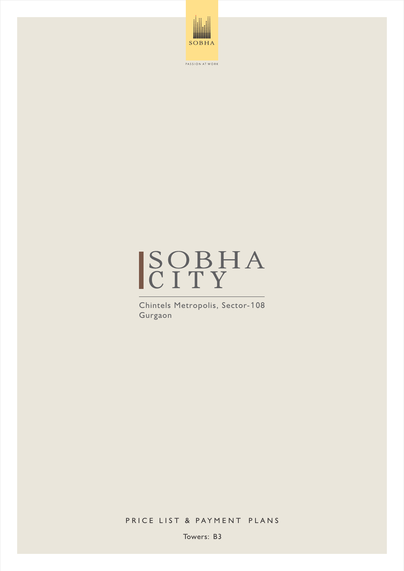



Chintels Metropolis, Sector-108 Gurgaon

PRICE LIST & PAYMENT PLANS

Towers: B3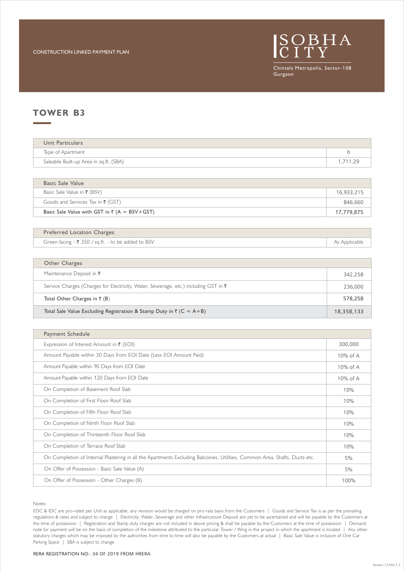

### **TOWER B3**

| Unit Particulars                       |        |
|----------------------------------------|--------|
| Type of Apartment                      |        |
| Saleable Built-up Area in sq.ft. (SBA) | 711 29 |

| Basic Sale Value                                        |            |
|---------------------------------------------------------|------------|
| Basic Sale Value in ₹ (BSV)                             | 16,933,215 |
| Goods and Services Tax in $\bar{\tau}$ (GST)            | 846,660    |
| Basic Sale Value with GST in $\bar{\tau}$ (A = BSV+GST) | 17,779,875 |

| <b>Preferred Location Charges</b>                  |               |
|----------------------------------------------------|---------------|
| Green facing - ₹ 350 / sq.ft. - to be added to BSV | As Applicable |

| Other Charges                                                                       |            |
|-------------------------------------------------------------------------------------|------------|
| Maintenance Deposit in $\bar{\tau}$                                                 | 342,258    |
| Service Charges (Charges for Electricity, Water, Sewerage, etc.) including GST in ₹ | 236,000    |
| Total Other Charges in $\bar{\tau}$ (B)                                             | 578,258    |
| Total Sale Value Excluding Registration & Stamp Duty in $\bar{z}$ (C = A+B)         | 18,358,133 |

| Payment Schedule                                                                                                           |          |
|----------------------------------------------------------------------------------------------------------------------------|----------|
| Expression of Interest Amount in $\bar{\tau}$ (EOI)                                                                        | 300,000  |
| Amount Payable within 30 Days from EOI Date (Less EOI Amount Paid)                                                         | 10% of A |
| Amount Payable within 90 Days from EOI Date                                                                                | 10% of A |
| Amount Payable within 120 Days from EOI Date                                                                               | 10% of A |
| On Completion of Basement Roof Slab                                                                                        | 10%      |
| On Completion of First Floor Roof Slab                                                                                     | 10%      |
| On Completion of Fifth Floor Roof Slab                                                                                     | 10%      |
| On Completion of Ninth Floor Roof Slab                                                                                     | 10%      |
| On Completion of Thirteenth Floor Roof Slab                                                                                | 10%      |
| On Completion of Terrace Roof Slab                                                                                         | 10%      |
| On Completion of Internal Plastering in all the Apartments Excluding Balconies, Utilities, Common Area, Shafts, Ducts etc. | 5%       |
| On Offer of Possession - Basic Sale Value (A)                                                                              | 5%       |
| On Offer of Possession - Other Charges (B)                                                                                 | 100%     |

Notes:

EDC & IDC are pro-rated per Unit as applicable, any revision would be charged on pro-rata basis from the Customers | Goods and Service Tax is as per the prevailing regulations & rates and subject to change | Electricity, Water, Sewerage and other Infrastructure Deposit are yet to be ascertained and will be payable by the Customers at the time of possession | Registration and Stamp duty charges are not included in above pricing & shall be payable by the Customers at the time of possession | Demand note for payment will be on the basis of completion of the milestone attributed to the particular Tower / Wing in the project in which the apartment is located | Any other statutory charges which may be imposed by the authorities from time to time will also be payable by the Customers at actual | Basic Sale Value is inclusive of One Car Parking Space | SBA is subject to change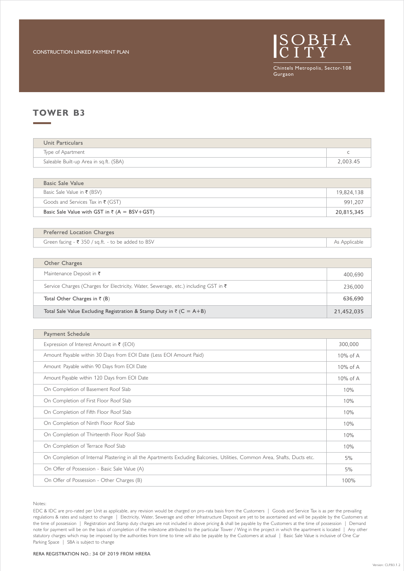

### **TOWER B3**

| Unit Particulars                       |          |
|----------------------------------------|----------|
| Type of Apartment                      |          |
| Saleable Built-up Area in sq.ft. (SBA) | 2,003.45 |

| Basic Sale Value with GST in $\bar{\tau}$ (A = BSV+GST) | 20,815,345 |
|---------------------------------------------------------|------------|
| Goods and Services Tax in $\bar{\tau}$ (GST)            | 991.207    |
| Basic Sale Value in ₹ (BSV)                             | 19,824,138 |
| Basic Sale Value                                        |            |

| <b>Preferred Location Charges</b>                  |               |
|----------------------------------------------------|---------------|
| Green facing - ₹ 350 / sq.ft. - to be added to BSV | As Applicable |

| Other Charges                                                                       |            |
|-------------------------------------------------------------------------------------|------------|
| Maintenance Deposit in $\bar{\tau}$                                                 | 400,690    |
| Service Charges (Charges for Electricity, Water, Sewerage, etc.) including GST in ₹ | 236,000    |
| Total Other Charges in $\bar{\tau}$ (B)                                             | 636,690    |
| Total Sale Value Excluding Registration & Stamp Duty in $\bar{z}$ (C = A+B)         | 21,452,035 |

| Payment Schedule                                                                                                           |          |
|----------------------------------------------------------------------------------------------------------------------------|----------|
| Expression of Interest Amount in $\bar{\tau}$ (EOI)                                                                        | 300,000  |
| Amount Payable within 30 Days from EOI Date (Less EOI Amount Paid)                                                         | 10% of A |
| Amount Payable within 90 Days from EOI Date                                                                                | 10% of A |
| Amount Payable within 120 Days from EOI Date                                                                               | 10% of A |
| On Completion of Basement Roof Slab                                                                                        | 10%      |
| On Completion of First Floor Roof Slab                                                                                     | 10%      |
| On Completion of Fifth Floor Roof Slab                                                                                     | 10%      |
| On Completion of Ninth Floor Roof Slab                                                                                     | 10%      |
| On Completion of Thirteenth Floor Roof Slab                                                                                | 10%      |
| On Completion of Terrace Roof Slab                                                                                         | 10%      |
| On Completion of Internal Plastering in all the Apartments Excluding Balconies, Utilities, Common Area, Shafts, Ducts etc. | 5%       |
| On Offer of Possession - Basic Sale Value (A)                                                                              | 5%       |
| On Offer of Possession - Other Charges (B)                                                                                 | 100%     |

Notes:

EDC & IDC are pro-rated per Unit as applicable, any revision would be charged on pro-rata basis from the Customers | Goods and Service Tax is as per the prevailing regulations & rates and subject to change | Electricity, Water, Sewerage and other Infrastructure Deposit are yet to be ascertained and will be payable by the Customers at the time of possession | Registration and Stamp duty charges are not included in above pricing & shall be payable by the Customers at the time of possession | Demand note for payment will be on the basis of completion of the milestone attributed to the particular Tower / Wing in the project in which the apartment is located | Any other statutory charges which may be imposed by the authorities from time to time will also be payable by the Customers at actual | Basic Sale Value is inclusive of One Car Parking Space | SBA is subject to change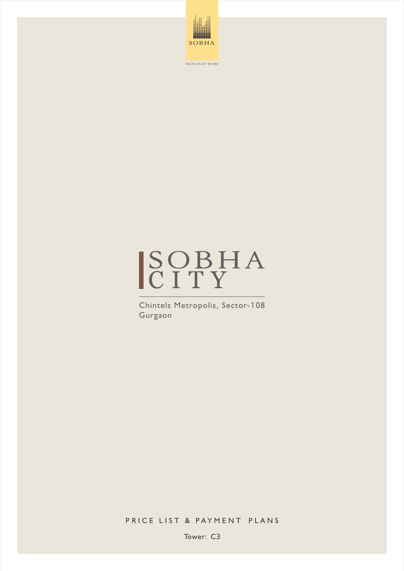



Chintels Metropolis, Sector-108 Gurgaon

PRICE LIST & PAYMENT PLANS

Tower: C3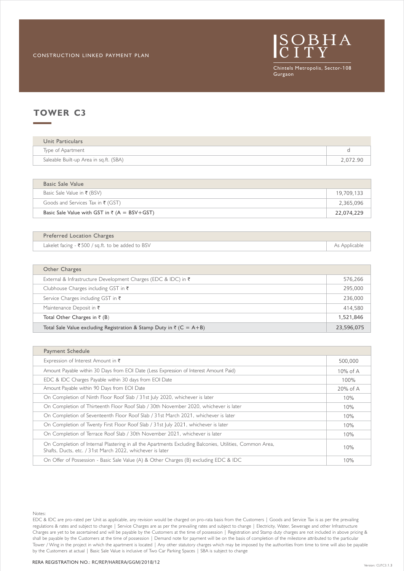

| Unit Particulars                       |          |
|----------------------------------------|----------|
| Type of Apartment                      |          |
| Saleable Built-up Area in sq.ft. (SBA) | 2,072.90 |

| Basic Sale Value                                        |            |
|---------------------------------------------------------|------------|
| Basic Sale Value in ₹ (BSV)                             | 19,709,133 |
| Goods and Services Tax in $\bar{\tau}$ (GST)            | 2,365,096  |
| Basic Sale Value with GST in $\bar{\tau}$ (A = BSV+GST) | 22,074,229 |

| <b>Preferred Location Charges</b>                   |               |
|-----------------------------------------------------|---------------|
| Lakelet facing $-$ ₹500 / sq.ft. to be added to BSV | As Applicable |

| Other Charges                                                               |            |
|-----------------------------------------------------------------------------|------------|
| External & Infrastructure Development Charges (EDC & IDC) in ₹              | 576,266    |
| Clubhouse Charges including GST in $\bar{\tau}$                             | 295,000    |
| Service Charges including GST in ₹                                          | 236,000    |
| Maintenance Deposit in $\bar{\tau}$                                         | 414,580    |
| Total Other Charges in $\bar{\tau}$ (B)                                     | 1,521,846  |
| Total Sale Value excluding Registration & Stamp Duty in $\bar{z}$ (C = A+B) | 23,596,075 |

| Payment Schedule                                                                                                                                                     |             |
|----------------------------------------------------------------------------------------------------------------------------------------------------------------------|-------------|
| Expression of Interest Amount in $\bar{\tau}$                                                                                                                        | 500,000     |
| Amount Payable within 30 Days from EOI Date (Less Expression of Interest Amount Paid)                                                                                | 10% of A    |
| EDC & IDC Charges Payable within 30 days from EOI Date                                                                                                               | 100%        |
| Amount Payable within 90 Days from EOI Date                                                                                                                          | $20\%$ of A |
| On Completion of Ninth Floor Roof Slab / 31st July 2020, whichever is later                                                                                          | 10%         |
| On Completion of Thirteenth Floor Roof Slab / 30th November 2020, whichever is later                                                                                 | 10%         |
| On Completion of Seventeenth Floor Roof Slab / 31st March 2021, whichever is later                                                                                   | 10%         |
| On Completion of Twenty First Floor Roof Slab / 31st July 2021, whichever is later                                                                                   | 10%         |
| On Completion of Terrace Roof Slab / 30th November 2021, whichever is later                                                                                          | 10%         |
| On Completion of Internal Plastering in all the Apartments Excluding Balconies, Utilities, Common Area,<br>Shafts, Ducts, etc. / 31st March 2022, whichever is later | 10%         |
| On Offer of Possession - Basic Sale Value (A) & Other Charges (B) excluding EDC & IDC                                                                                | 10%         |

Notes:

EDC & IDC are pro-rated per Unit as applicable, any revision would be charged on pro-rata basis from the Customers | Goods and Service Tax is as per the prevailing regulations & rates and subject to change | Service Charges are as per the prevailing rates and subject to change | Electricity, Water, Sewerage and other Infrastructure shall be payable by the Customers at the time of possession | Demand note for payment will be on the basis of completion of the milestone attributed to the particular Charges are yet to be ascertained and will be payable by the Customers at the time of possession | Registration and Stamp duty charges are not included in above pricing & by the Customers at actual | Basic Sale Value is inclusive of Two Car Parking Spaces | SBA is subject to change Tower / Wing in the project in which the apartment is located | Any other statutory charges which may be imposed by the authorities from time to time will also be payable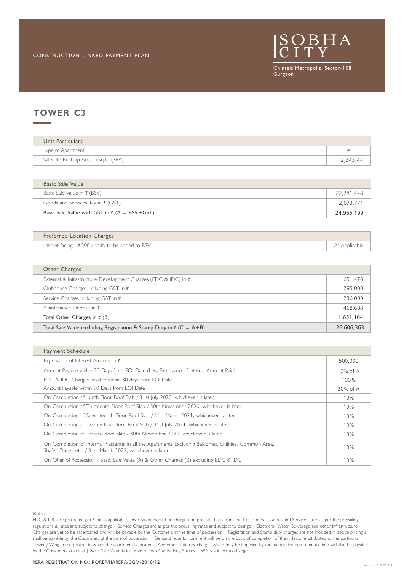

| Unit Particulars                       |          |
|----------------------------------------|----------|
| Type of Apartment                      |          |
| Saleable Built-up Area in sq.ft. (SBA) | 2,343.44 |

| Basic Sale Value                                        |            |  |
|---------------------------------------------------------|------------|--|
| Basic Sale Value in ₹ (BSV)                             | 22,281,428 |  |
| Goods and Services Tax in $\bar{\tau}$ (GST)            | 2,673,771  |  |
| Basic Sale Value with GST in $\bar{\tau}$ (A = BSV+GST) | 24,955,199 |  |

| <b>Preferred Location Charges</b>                   |               |
|-----------------------------------------------------|---------------|
| Lakelet facing $-$ ₹500 / sq.ft. to be added to BSV | As Applicable |

| Other Charges                                                               |            |
|-----------------------------------------------------------------------------|------------|
| External & Infrastructure Development Charges (EDC & IDC) in $\bar{\tau}$   | 651,476    |
| Clubhouse Charges including GST in $\bar{\tau}$                             | 295,000    |
| Service Charges including GST in ₹                                          | 236,000    |
| Maintenance Deposit in $\bar{\tau}$                                         | 468.688    |
| Total Other Charges in $\bar{\tau}$ (B)                                     | 1,651,164  |
| Total Sale Value excluding Registration & Stamp Duty in $\bar{z}$ (C = A+B) | 26,606,363 |

| <b>Payment Schedule</b>                                                                                                                                              |             |
|----------------------------------------------------------------------------------------------------------------------------------------------------------------------|-------------|
| Expression of Interest Amount in $\bar{\tau}$                                                                                                                        | 500,000     |
| Amount Payable within 30 Days from EOI Date (Less Expression of Interest Amount Paid)                                                                                | 10% of A    |
| EDC & IDC Charges Payable within 30 days from EOI Date                                                                                                               | 100%        |
| Amount Payable within 90 Days from EOI Date                                                                                                                          | $20\%$ of A |
| On Completion of Ninth Floor Roof Slab / 31st July 2020, whichever is later                                                                                          | 10%         |
| On Completion of Thirteenth Floor Roof Slab / 30th November 2020, whichever is later                                                                                 | 10%         |
| On Completion of Seventeenth Floor Roof Slab / 31st March 2021, whichever is later                                                                                   | 10%         |
| On Completion of Twenty First Floor Roof Slab / 31st July 2021, whichever is later                                                                                   | 10%         |
| On Completion of Terrace Roof Slab / 30th November 2021, whichever is later                                                                                          | 10%         |
| On Completion of Internal Plastering in all the Apartments Excluding Balconies, Utilities, Common Area,<br>Shafts, Ducts, etc. / 31st March 2022, whichever is later | 10%         |
| On Offer of Possession - Basic Sale Value (A) & Other Charges (B) excluding EDC & IDC                                                                                | 10%         |

Notes:

regulations & rates and subject to change | Service Charges are as per the prevailing rates and subject to change | Electricity, Water, Sewerage and other Infrastructure shall be payable by the Customers at the time of possession | Demand note for payment will be on the basis of completion of the milestone attributed to the particular EDC & IDC are pro-rated per Unit as applicable, any revision would be charged on pro-rata basis from the Customers | Goods and Service Tax is as per the prevailing Charges are yet to be ascertained and will be payable by the Customers at the time of possession | Registration and Stamp duty charges are not included in above pricing & Tower / Wing in the project in which the apartment is located | Any other statutory charges which may be imposed by the authorities from time to time will also be payable by the Customers at actual | Basic Sale Value is inclusive of Two Car Parking Spaces | SBA is subject to change

#### RERA REGISTRATION NO.: RC/REP/HARERA/GGM/2018/12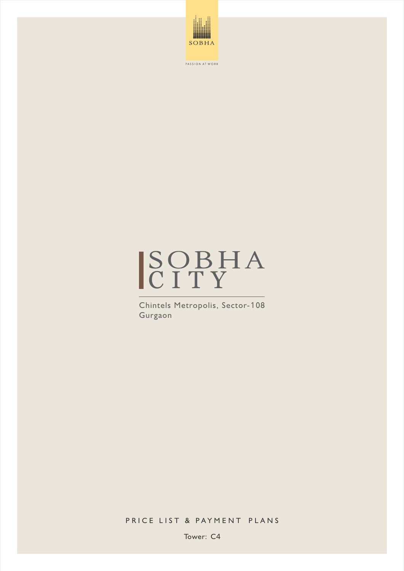



Chintels Metropolis, Sector-108 Gurgaon

PRICE LIST & PAYMENT PLANS

Tower: C4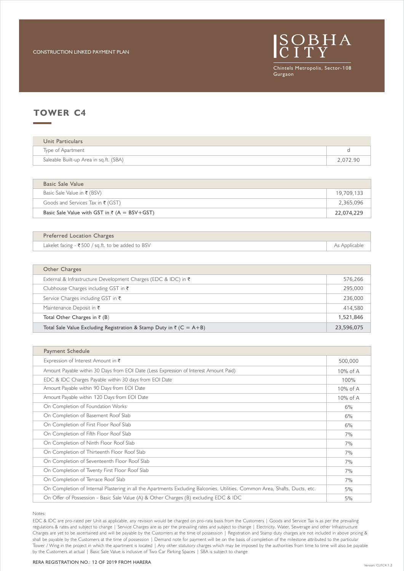

| Unit Particulars                       |          |
|----------------------------------------|----------|
| Type of Apartment                      |          |
| Saleable Built-up Area in sq.ft. (SBA) | 2,072.90 |

| Basic Sale Value                                        |            |
|---------------------------------------------------------|------------|
| Basic Sale Value in ₹ (BSV)                             | 19,709,133 |
| Goods and Services Tax in $\bar{\tau}$ (GST)            | 2,365,096  |
| Basic Sale Value with GST in $\bar{\tau}$ (A = BSV+GST) | 22,074,229 |

| Preferred Location Charges                          |               |
|-----------------------------------------------------|---------------|
| Lakelet facing $-$ ₹500 / sq.ft. to be added to BSV | As Applicable |

| Other Charges                                                               |            |
|-----------------------------------------------------------------------------|------------|
| External & Infrastructure Development Charges (EDC & IDC) in $\bar{\tau}$   | 576,266    |
| Clubhouse Charges including GST in $\bar{\tau}$                             | 295,000    |
| Service Charges including GST in $\bar{\tau}$                               | 236,000    |
| Maintenance Deposit in $\bar{\tau}$                                         | 414,580    |
| Total Other Charges in $\bar{\tau}$ (B)                                     | 1,521,846  |
| Total Sale Value Excluding Registration & Stamp Duty in $\bar{z}$ (C = A+B) | 23,596,075 |

| Payment Schedule                                                                                                            |             |
|-----------------------------------------------------------------------------------------------------------------------------|-------------|
| Expression of Interest Amount in $\bar{\tau}$                                                                               | 500,000     |
| Amount Payable within 30 Days from EOI Date (Less Expression of Interest Amount Paid)                                       | $10\%$ of A |
| EDC & IDC Charges Payable within 30 days from EOI Date                                                                      | 100%        |
| Amount Payable within 90 Days from EOI Date                                                                                 | $10\%$ of A |
| Amount Payable within 120 Days from EOI Date                                                                                | 10% of A    |
| On Completion of Foundation Works                                                                                           | 6%          |
| On Completion of Basement Roof Slab                                                                                         | 6%          |
| On Completion of First Floor Roof Slab                                                                                      | 6%          |
| On Completion of Fifth Floor Roof Slab                                                                                      | 7%          |
| On Completion of Ninth Floor Roof Slab                                                                                      | 7%          |
| On Completion of Thirteenth Floor Roof Slab                                                                                 | 7%          |
| On Completion of Seventeenth Floor Roof Slab                                                                                | 7%          |
| On Completion of Twenty First Floor Roof Slab                                                                               | 7%          |
| On Completion of Terrace Roof Slab                                                                                          | 7%          |
| On Completion of Internal Plastering in all the Apartments Excluding Balconies, Utilities, Common Area, Shafts, Ducts, etc. | 5%          |
| On Offer of Possession - Basic Sale Value (A) & Other Charges (B) excluding EDC & IDC                                       | 5%          |

Notes:

EDC & IDC are pro-rated per Unit as applicable, any revision would be charged on pro-rata basis from the Customers | Goods and Service Tax is as per the prevailing regulations & rates and subject to change | Service Charges are as per the prevailing rates and subject to change | Electricity, Water, Sewerage and other Infrastructure Charges are yet to be ascertained and will be payable by the Customers at the time of possession | Registration and Stamp duty charges are not included in above pricing & shall be payable by the Customers at the time of possession | Demand note for payment will be on the basis of completion of the milestone attributed to the particular Tower / Wing in the project in which the apartment is located | Any other statutory charges which may be imposed by the authorities from time to time will also be payable by the Customers at actual | Basic Sale Value is inclusive of Two Car Parking Spaces | SBA is subject to change

#### RERA REGISTRATION NO.: 12 OF 2019 FROM HARERA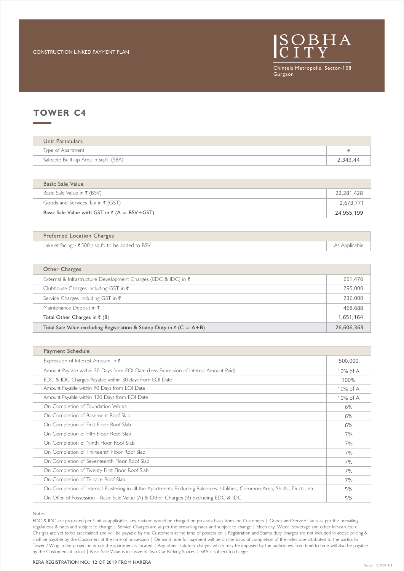

| Unit Particulars                       |          |
|----------------------------------------|----------|
| Type of Apartment                      |          |
| Saleable Built-up Area in sq.ft. (SBA) | 2,343.44 |

| Basic Sale Value with GST in $\bar{\tau}$ (A = BSV+GST) | 24,955,199 |
|---------------------------------------------------------|------------|
| Goods and Services Tax in $\bar{\tau}$ (GST)            | 2,673,771  |
| Basic Sale Value in ₹ (BSV)                             | 22,281,428 |
| Basic Sale Value                                        |            |

| <b>Preferred Location Charges</b>                   |               |
|-----------------------------------------------------|---------------|
| Lakelet facing $-$ ₹500 / sq.ft. to be added to BSV | As Applicable |

| Other Charges                                                               |            |
|-----------------------------------------------------------------------------|------------|
| External & Infrastructure Development Charges (EDC & IDC) in $\bar{\tau}$   | 651,476    |
| Clubhouse Charges including GST in $\bar{\tau}$                             | 295,000    |
| Service Charges including GST in $\bar{\tau}$                               | 236,000    |
| Maintenance Deposit in $\bar{\tau}$                                         | 468.688    |
| Total Other Charges in $\bar{\tau}$ (B)                                     | 1,651,164  |
| Total Sale Value excluding Registration & Stamp Duty in $\bar{z}$ (C = A+B) | 26,606,363 |

| Payment Schedule                                                                                                            |             |
|-----------------------------------------------------------------------------------------------------------------------------|-------------|
| Expression of Interest Amount in $\bar{\tau}$                                                                               | 500,000     |
| Amount Payable within 30 Days from EOI Date (Less Expression of Interest Amount Paid)                                       | $10\%$ of A |
| EDC & IDC Charges Payable within 30 days from EOI Date                                                                      | 100%        |
| Amount Payable within 90 Days from EOI Date                                                                                 | $10\%$ of A |
| Amount Payable within 120 Days from EOI Date                                                                                | $10\%$ of A |
| On Completion of Foundation Works                                                                                           | 6%          |
| On Completion of Basement Roof Slab                                                                                         | 6%          |
| On Completion of First Floor Roof Slab                                                                                      | 6%          |
| On Completion of Fifth Floor Roof Slab                                                                                      | 7%          |
| On Completion of Ninth Floor Roof Slab                                                                                      | 7%          |
| On Completion of Thirteenth Floor Roof Slab                                                                                 | 7%          |
| On Completion of Seventeenth Floor Roof Slab                                                                                | 7%          |
| On Completion of Twenty First Floor Roof Slab                                                                               | 7%          |
| On Completion of Terrace Roof Slab                                                                                          | 7%          |
| On Completion of Internal Plastering in all the Apartments Excluding Balconies, Utilities, Common Area, Shafts, Ducts, etc. | 5%          |
| On Offer of Possession - Basic Sale Value (A) & Other Charges (B) excluding EDC & IDC                                       | 5%          |

Notes:

EDC & IDC are pro-rated per Unit as applicable, any revision would be charged on pro-rata basis from the Customers | Goods and Service Tax is as per the prevailing regulations & rates and subject to change | Service Charges are as per the prevailing rates and subject to change | Electricity, Water, Sewerage and other Infrastructure Charges are yet to be ascertained and will be payable by the Customers at the time of possession | Registration and Stamp duty charges are not included in above pricing & shall be payable by the Customers at the time of possession | Demand note for payment will be on the basis of completion of the milestone attributed to the particular Tower / Wing in the project in which the apartment is located | Any other statutory charges which may be imposed by the authorities from time to time will also be payable by the Customers at actual | Basic Sale Value is inclusive of Two Car Parking Spaces | SBA is subject to change

#### RERA REGISTRATION NO.: 12 OF 2019 FROM HARERA